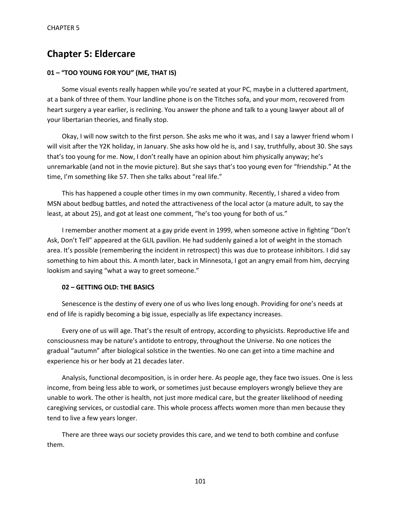# **Chapter 5: Eldercare**

## **01 – "TOO YOUNG FOR YOU" (ME, THAT IS)**

Some visual events really happen while you're seated at your PC, maybe in a cluttered apartment, at a bank of three of them. Your landline phone is on the Titches sofa, and your mom, recovered from heart surgery a year earlier, is reclining. You answer the phone and talk to a young lawyer about all of your libertarian theories, and finally stop.

Okay, I will now switch to the first person. She asks me who it was, and I say a lawyer friend whom I will visit after the Y2K holiday, in January. She asks how old he is, and I say, truthfully, about 30. She says that's too young for me. Now, I don't really have an opinion about him physically anyway; he's unremarkable (and not in the movie picture). But she says that's too young even for "friendship." At the time, I'm something like 57. Then she talks about "real life."

This has happened a couple other times in my own community. Recently, I shared a video from MSN about bedbug battles, and noted the attractiveness of the local actor (a mature adult, to say the least, at about 25), and got at least one comment, "he's too young for both of us."

I remember another moment at a gay pride event in 1999, when someone active in fighting "Don't Ask, Don't Tell" appeared at the GLIL pavilion. He had suddenly gained a lot of weight in the stomach area. It's possible (remembering the incident in retrospect) this was due to protease inhibitors. I did say something to him about this. A month later, back in Minnesota, I got an angry email from him, decrying lookism and saying "what a way to greet someone."

## **02 – GETTING OLD: THE BASICS**

Senescence is the destiny of every one of us who lives long enough. Providing for one's needs at end of life is rapidly becoming a big issue, especially as life expectancy increases.

Every one of us will age. That's the result of entropy, according to physicists. Reproductive life and consciousness may be nature's antidote to entropy, throughout the Universe. No one notices the gradual "autumn" after biological solstice in the twenties. No one can get into a time machine and experience his or her body at 21 decades later.

Analysis, functional decomposition, is in order here. As people age, they face two issues. One is less income, from being less able to work, or sometimes just because employers wrongly believe they are unable to work. The other is health, not just more medical care, but the greater likelihood of needing caregiving services, or custodial care. This whole process affects women more than men because they tend to live a few years longer.

There are three ways our society provides this care, and we tend to both combine and confuse them.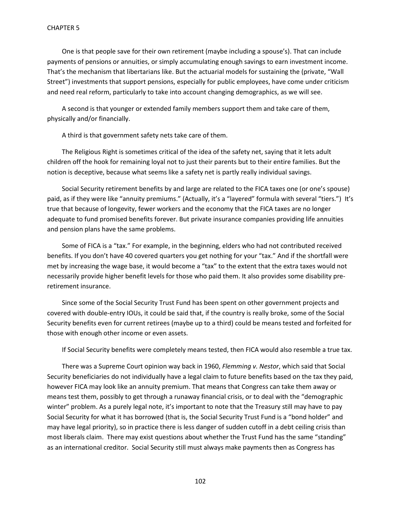One is that people save for their own retirement (maybe including a spouse's). That can include payments of pensions or annuities, or simply accumulating enough savings to earn investment income. That's the mechanism that libertarians like. But the actuarial models for sustaining the (private, "Wall Street") investments that support pensions, especially for public employees, have come under criticism and need real reform, particularly to take into account changing demographics, as we will see.

A second is that younger or extended family members support them and take care of them, physically and/or financially.

A third is that government safety nets take care of them.

The Religious Right is sometimes critical of the idea of the safety net, saying that it lets adult children off the hook for remaining loyal not to just their parents but to their entire families. But the notion is deceptive, because what seems like a safety net is partly really individual savings.

Social Security retirement benefits by and large are related to the FICA taxes one (or one's spouse) paid, as if they were like "annuity premiums." (Actually, it's a "layered" formula with several "tiers.") It's true that because of longevity, fewer workers and the economy that the FICA taxes are no longer adequate to fund promised benefits forever. But private insurance companies providing life annuities and pension plans have the same problems.

Some of FICA is a "tax." For example, in the beginning, elders who had not contributed received benefits. If you don't have 40 covered quarters you get nothing for your "tax." And if the shortfall were met by increasing the wage base, it would become a "tax" to the extent that the extra taxes would not necessarily provide higher benefit levels for those who paid them. It also provides some disability preretirement insurance.

Since some of the Social Security Trust Fund has been spent on other government projects and covered with double-entry IOUs, it could be said that, if the country is really broke, some of the Social Security benefits even for current retirees (maybe up to a third) could be means tested and forfeited for those with enough other income or even assets.

If Social Security benefits were completely means tested, then FICA would also resemble a true tax.

There was a Supreme Court opinion way back in 1960, *Flemming v. Nestor*, which said that Social Security beneficiaries do not individually have a legal claim to future benefits based on the tax they paid, however FICA may look like an annuity premium. That means that Congress can take them away or means test them, possibly to get through a runaway financial crisis, or to deal with the "demographic winter" problem. As a purely legal note, it's important to note that the Treasury still may have to pay Social Security for what it has borrowed (that is, the Social Security Trust Fund is a "bond holder" and may have legal priority), so in practice there is less danger of sudden cutoff in a debt ceiling crisis than most liberals claim. There may exist questions about whether the Trust Fund has the same "standing" as an international creditor. Social Security still must always make payments then as Congress has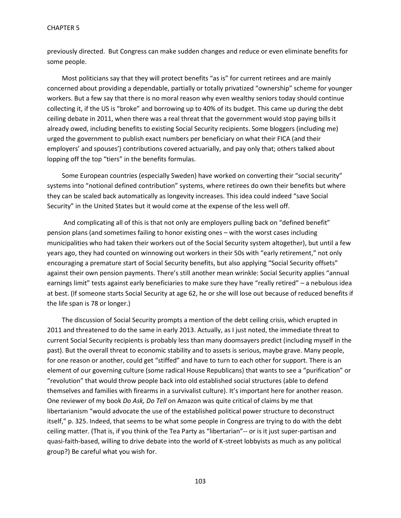previously directed. But Congress can make sudden changes and reduce or even eliminate benefits for some people.

Most politicians say that they will protect benefits "as is" for current retirees and are mainly concerned about providing a dependable, partially or totally privatized "ownership" scheme for younger workers. But a few say that there is no moral reason why even wealthy seniors today should continue collecting it, if the US is "broke" and borrowing up to 40% of its budget. This came up during the debt ceiling debate in 2011, when there was a real threat that the government would stop paying bills it already owed, including benefits to existing Social Security recipients. Some bloggers (including me) urged the government to publish exact numbers per beneficiary on what their FICA (and their employers' and spouses') contributions covered actuarially, and pay only that; others talked about lopping off the top "tiers" in the benefits formulas.

Some European countries (especially Sweden) have worked on converting their "social security" systems into "notional defined contribution" systems, where retirees do own their benefits but where they can be scaled back automatically as longevity increases. This idea could indeed "save Social Security" in the United States but it would come at the expense of the less well off.

And complicating all of this is that not only are employers pulling back on "defined benefit" pension plans (and sometimes failing to honor existing ones – with the worst cases including municipalities who had taken their workers out of the Social Security system altogether), but until a few years ago, they had counted on winnowing out workers in their 50s with "early retirement," not only encouraging a premature start of Social Security benefits, but also applying "Social Security offsets" against their own pension payments. There's still another mean wrinkle: Social Security applies "annual earnings limit" tests against early beneficiaries to make sure they have "really retired" – a nebulous idea at best. (If someone starts Social Security at age 62, he or she will lose out because of reduced benefits if the life span is 78 or longer.)

The discussion of Social Security prompts a mention of the debt ceiling crisis, which erupted in 2011 and threatened to do the same in early 2013. Actually, as I just noted, the immediate threat to current Social Security recipients is probably less than many doomsayers predict (including myself in the past). But the overall threat to economic stability and to assets is serious, maybe grave. Many people, for one reason or another, could get "stiffed" and have to turn to each other for support. There is an element of our governing culture (some radical House Republicans) that wants to see a "purification" or "revolution" that would throw people back into old established social structures (able to defend themselves and families with firearms in a survivalist culture). It's important here for another reason. One reviewer of my book *Do Ask, Do Tell* on Amazon was quite critical of claims by me that libertarianism "would advocate the use of the established political power structure to deconstruct itself," p. 325. Indeed, that seems to be what some people in Congress are trying to do with the debt ceiling matter. (That is, if you think of the Tea Party as "libertarian"-- or is it just super-partisan and quasi-faith-based, willing to drive debate into the world of K-street lobbyists as much as any political group?) Be careful what you wish for.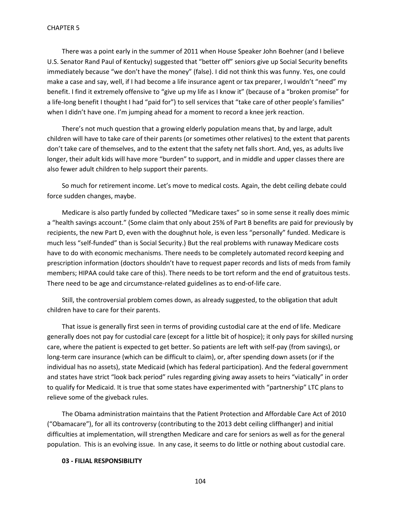There was a point early in the summer of 2011 when House Speaker John Boehner (and I believe U.S. Senator Rand Paul of Kentucky) suggested that "better off" seniors give up Social Security benefits immediately because "we don't have the money" (false). I did not think this was funny. Yes, one could make a case and say, well, if I had become a life insurance agent or tax preparer, I wouldn't "need" my benefit. I find it extremely offensive to "give up my life as I know it" (because of a "broken promise" for a life-long benefit I thought I had "paid for") to sell services that "take care of other people's families" when I didn't have one. I'm jumping ahead for a moment to record a knee jerk reaction.

There's not much question that a growing elderly population means that, by and large, adult children will have to take care of their parents (or sometimes other relatives) to the extent that parents don't take care of themselves, and to the extent that the safety net falls short. And, yes, as adults live longer, their adult kids will have more "burden" to support, and in middle and upper classes there are also fewer adult children to help support their parents.

So much for retirement income. Let's move to medical costs. Again, the debt ceiling debate could force sudden changes, maybe.

Medicare is also partly funded by collected "Medicare taxes" so in some sense it really does mimic a "health savings account." (Some claim that only about 25% of Part B benefits are paid for previously by recipients, the new Part D, even with the doughnut hole, is even less "personally" funded. Medicare is much less "self-funded" than is Social Security.) But the real problems with runaway Medicare costs have to do with economic mechanisms. There needs to be completely automated record keeping and prescription information (doctors shouldn't have to request paper records and lists of meds from family members; HIPAA could take care of this). There needs to be tort reform and the end of gratuitous tests. There need to be age and circumstance-related guidelines as to end-of-life care.

Still, the controversial problem comes down, as already suggested, to the obligation that adult children have to care for their parents.

That issue is generally first seen in terms of providing custodial care at the end of life. Medicare generally does not pay for custodial care (except for a little bit of hospice); it only pays for skilled nursing care, where the patient is expected to get better. So patients are left with self-pay (from savings), or long-term care insurance (which can be difficult to claim), or, after spending down assets (or if the individual has no assets), state Medicaid (which has federal participation). And the federal government and states have strict "look back period" rules regarding giving away assets to heirs "viatically" in order to qualify for Medicaid. It is true that some states have experimented with "partnership" LTC plans to relieve some of the giveback rules.

The Obama administration maintains that the Patient Protection and Affordable Care Act of 2010 ("Obamacare"), for all its controversy (contributing to the 2013 debt ceiling cliffhanger) and initial difficulties at implementation, will strengthen Medicare and care for seniors as well as for the general population. This is an evolving issue. In any case, it seems to do little or nothing about custodial care.

## **03 - FILIAL RESPONSIBILITY**

104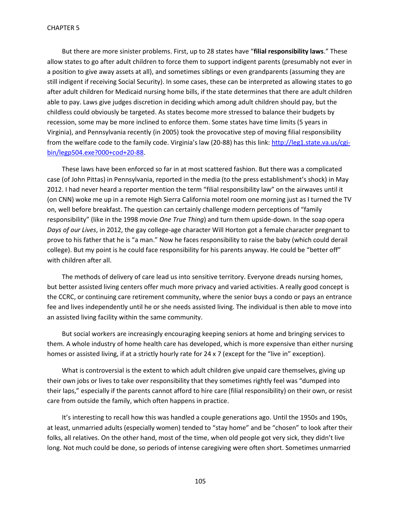But there are more sinister problems. First, up to 28 states have "**filial responsibility laws**." These allow states to go after adult children to force them to support indigent parents (presumably not ever in a position to give away assets at all), and sometimes siblings or even grandparents (assuming they are still indigent if receiving Social Security). In some cases, these can be interpreted as allowing states to go after adult children for Medicaid nursing home bills, if the state determines that there are adult children able to pay. Laws give judges discretion in deciding which among adult children should pay, but the childless could obviously be targeted. As states become more stressed to balance their budgets by recession, some may be more inclined to enforce them. Some states have time limits (5 years in Virginia), and Pennsylvania recently (in 2005) took the provocative step of moving filial responsibility from the welfare code to the family code. Virginia's law (20-88) has this link[: http://leg1.state.va.us/cgi](http://leg1.state.va.us/cgi-bin/legp504.exe?000+cod+20-88)[bin/legp504.exe?000+cod+20-88.](http://leg1.state.va.us/cgi-bin/legp504.exe?000+cod+20-88)

These laws have been enforced so far in at most scattered fashion. But there was a complicated case (of John Pittas) in Pennsylvania, reported in the media (to the press establishment's shock) in May 2012. I had never heard a reporter mention the term "filial responsibility law" on the airwaves until it (on CNN) woke me up in a remote High Sierra California motel room one morning just as I turned the TV on, well before breakfast. The question can certainly challenge modern perceptions of "family responsibility" (like in the 1998 movie *One True Thing*) and turn them upside-down. In the soap opera *Days of our Lives*, in 2012, the gay college-age character Will Horton got a female character pregnant to prove to his father that he is "a man." Now he faces responsibility to raise the baby (which could derail college). But my point is he could face responsibility for his parents anyway. He could be "better off" with children after all.

The methods of delivery of care lead us into sensitive territory. Everyone dreads nursing homes, but better assisted living centers offer much more privacy and varied activities. A really good concept is the CCRC, or continuing care retirement community, where the senior buys a condo or pays an entrance fee and lives independently until he or she needs assisted living. The individual is then able to move into an assisted living facility within the same community.

But social workers are increasingly encouraging keeping seniors at home and bringing services to them. A whole industry of home health care has developed, which is more expensive than either nursing homes or assisted living, if at a strictly hourly rate for 24 x 7 (except for the "live in" exception).

What is controversial is the extent to which adult children give unpaid care themselves, giving up their own jobs or lives to take over responsibility that they sometimes rightly feel was "dumped into their laps," especially if the parents cannot afford to hire care (filial responsibility) on their own, or resist care from outside the family, which often happens in practice.

It's interesting to recall how this was handled a couple generations ago. Until the 1950s and 190s, at least, unmarried adults (especially women) tended to "stay home" and be "chosen" to look after their folks, all relatives. On the other hand, most of the time, when old people got very sick, they didn't live long. Not much could be done, so periods of intense caregiving were often short. Sometimes unmarried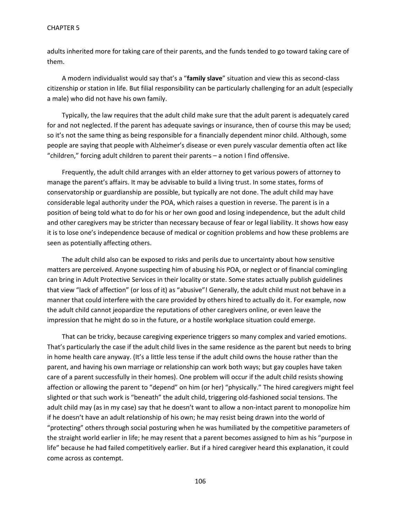adults inherited more for taking care of their parents, and the funds tended to go toward taking care of them.

A modern individualist would say that's a "**family slave**" situation and view this as second-class citizenship or station in life. But filial responsibility can be particularly challenging for an adult (especially a male) who did not have his own family.

Typically, the law requires that the adult child make sure that the adult parent is adequately cared for and not neglected. If the parent has adequate savings or insurance, then of course this may be used; so it's not the same thing as being responsible for a financially dependent minor child. Although, some people are saying that people with Alzheimer's disease or even purely vascular dementia often act like "children," forcing adult children to parent their parents – a notion I find offensive.

Frequently, the adult child arranges with an elder attorney to get various powers of attorney to manage the parent's affairs. It may be advisable to build a living trust. In some states, forms of conservatorship or guardianship are possible, but typically are not done. The adult child may have considerable legal authority under the POA, which raises a question in reverse. The parent is in a position of being told what to do for his or her own good and losing independence, but the adult child and other caregivers may be stricter than necessary because of fear or legal liability. It shows how easy it is to lose one's independence because of medical or cognition problems and how these problems are seen as potentially affecting others.

The adult child also can be exposed to risks and perils due to uncertainty about how sensitive matters are perceived. Anyone suspecting him of abusing his POA, or neglect or of financial comingling can bring in Adult Protective Services in their locality or state. Some states actually publish guidelines that view "lack of affection" (or loss of it) as "abusive"! Generally, the adult child must not behave in a manner that could interfere with the care provided by others hired to actually do it. For example, now the adult child cannot jeopardize the reputations of other caregivers online, or even leave the impression that he might do so in the future, or a hostile workplace situation could emerge.

That can be tricky, because caregiving experience triggers so many complex and varied emotions. That's particularly the case if the adult child lives in the same residence as the parent but needs to bring in home health care anyway. (It's a little less tense if the adult child owns the house rather than the parent, and having his own marriage or relationship can work both ways; but gay couples have taken care of a parent successfully in their homes). One problem will occur if the adult child resists showing affection or allowing the parent to "depend" on him (or her) "physically." The hired caregivers might feel slighted or that such work is "beneath" the adult child, triggering old-fashioned social tensions. The adult child may (as in my case) say that he doesn't want to allow a non-intact parent to monopolize him if he doesn't have an adult relationship of his own; he may resist being drawn into the world of "protecting" others through social posturing when he was humiliated by the competitive parameters of the straight world earlier in life; he may resent that a parent becomes assigned to him as his "purpose in life" because he had failed competitively earlier. But if a hired caregiver heard this explanation, it could come across as contempt.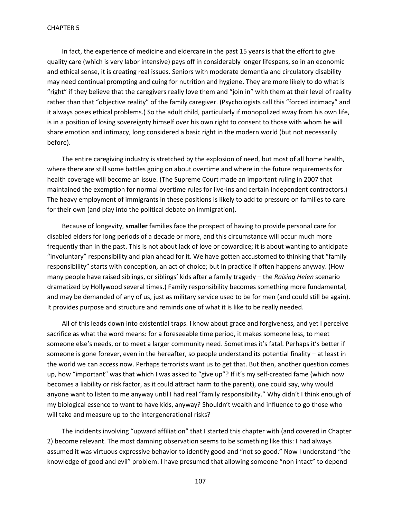In fact, the experience of medicine and eldercare in the past 15 years is that the effort to give quality care (which is very labor intensive) pays off in considerably longer lifespans, so in an economic and ethical sense, it is creating real issues. Seniors with moderate dementia and circulatory disability may need continual prompting and cuing for nutrition and hygiene. They are more likely to do what is "right" if they believe that the caregivers really love them and "join in" with them at their level of reality rather than that "objective reality" of the family caregiver. (Psychologists call this "forced intimacy" and it always poses ethical problems.) So the adult child, particularly if monopolized away from his own life, is in a position of losing sovereignty himself over his own right to consent to those with whom he will share emotion and intimacy, long considered a basic right in the modern world (but not necessarily before).

The entire caregiving industry is stretched by the explosion of need, but most of all home health, where there are still some battles going on about overtime and where in the future requirements for health coverage will become an issue. (The Supreme Court made an important ruling in 2007 that maintained the exemption for normal overtime rules for live-ins and certain independent contractors.) The heavy employment of immigrants in these positions is likely to add to pressure on families to care for their own (and play into the political debate on immigration).

Because of longevity, **smaller** families face the prospect of having to provide personal care for disabled elders for long periods of a decade or more, and this circumstance will occur much more frequently than in the past. This is not about lack of love or cowardice; it is about wanting to anticipate "involuntary" responsibility and plan ahead for it. We have gotten accustomed to thinking that "family responsibility" starts with conception, an act of choice; but in practice if often happens anyway. (How many people have raised siblings, or siblings' kids after a family tragedy – the *Raising Helen* scenario dramatized by Hollywood several times.) Family responsibility becomes something more fundamental, and may be demanded of any of us, just as military service used to be for men (and could still be again). It provides purpose and structure and reminds one of what it is like to be really needed.

All of this leads down into existential traps. I know about grace and forgiveness, and yet I perceive sacrifice as what the word means: for a foreseeable time period, it makes someone less, to meet someone else's needs, or to meet a larger community need. Sometimes it's fatal. Perhaps it's better if someone is gone forever, even in the hereafter, so people understand its potential finality – at least in the world we can access now. Perhaps terrorists want us to get that. But then, another question comes up, how "important" was that which I was asked to "give up"? If it's my self-created fame (which now becomes a liability or risk factor, as it could attract harm to the parent), one could say, why would anyone want to listen to me anyway until I had real "family responsibility." Why didn't I think enough of my biological essence to want to have kids, anyway? Shouldn't wealth and influence to go those who will take and measure up to the intergenerational risks?

The incidents involving "upward affiliation" that I started this chapter with (and covered in Chapter 2) become relevant. The most damning observation seems to be something like this: I had always assumed it was virtuous expressive behavior to identify good and "not so good." Now I understand "the knowledge of good and evil" problem. I have presumed that allowing someone "non intact" to depend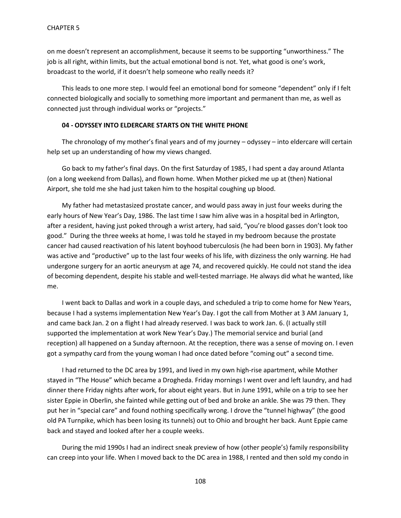on me doesn't represent an accomplishment, because it seems to be supporting "unworthiness." The job is all right, within limits, but the actual emotional bond is not. Yet, what good is one's work, broadcast to the world, if it doesn't help someone who really needs it?

This leads to one more step. I would feel an emotional bond for someone "dependent" only if I felt connected biologically and socially to something more important and permanent than me, as well as connected just through individual works or "projects."

## **04 - ODYSSEY INTO ELDERCARE STARTS ON THE WHITE PHONE**

The chronology of my mother's final years and of my journey – odyssey – into eldercare will certain help set up an understanding of how my views changed.

Go back to my father's final days. On the first Saturday of 1985, I had spent a day around Atlanta (on a long weekend from Dallas), and flown home. When Mother picked me up at (then) National Airport, she told me she had just taken him to the hospital coughing up blood.

My father had metastasized prostate cancer, and would pass away in just four weeks during the early hours of New Year's Day, 1986. The last time I saw him alive was in a hospital bed in Arlington, after a resident, having just poked through a wrist artery, had said, "you're blood gasses don't look too good." During the three weeks at home, I was told he stayed in my bedroom because the prostate cancer had caused reactivation of his latent boyhood tuberculosis (he had been born in 1903). My father was active and "productive" up to the last four weeks of his life, with dizziness the only warning. He had undergone surgery for an aortic aneurysm at age 74, and recovered quickly. He could not stand the idea of becoming dependent, despite his stable and well-tested marriage. He always did what he wanted, like me.

I went back to Dallas and work in a couple days, and scheduled a trip to come home for New Years, because I had a systems implementation New Year's Day. I got the call from Mother at 3 AM January 1, and came back Jan. 2 on a flight I had already reserved. I was back to work Jan. 6. (I actually still supported the implementation at work New Year's Day.) The memorial service and burial (and reception) all happened on a Sunday afternoon. At the reception, there was a sense of moving on. I even got a sympathy card from the young woman I had once dated before "coming out" a second time.

I had returned to the DC area by 1991, and lived in my own high-rise apartment, while Mother stayed in "The House" which became a Drogheda. Friday mornings I went over and left laundry, and had dinner there Friday nights after work, for about eight years. But in June 1991, while on a trip to see her sister Eppie in Oberlin, she fainted while getting out of bed and broke an ankle. She was 79 then. They put her in "special care" and found nothing specifically wrong. I drove the "tunnel highway" (the good old PA Turnpike, which has been losing its tunnels) out to Ohio and brought her back. Aunt Eppie came back and stayed and looked after her a couple weeks.

During the mid 1990s I had an indirect sneak preview of how (other people's) family responsibility can creep into your life. When I moved back to the DC area in 1988, I rented and then sold my condo in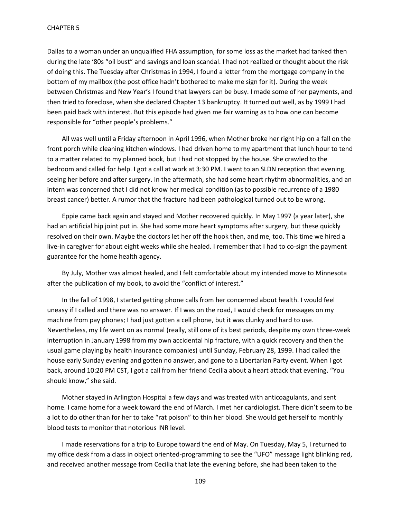Dallas to a woman under an unqualified FHA assumption, for some loss as the market had tanked then during the late '80s "oil bust" and savings and loan scandal. I had not realized or thought about the risk of doing this. The Tuesday after Christmas in 1994, I found a letter from the mortgage company in the bottom of my mailbox (the post office hadn't bothered to make me sign for it). During the week between Christmas and New Year's I found that lawyers can be busy. I made some of her payments, and then tried to foreclose, when she declared Chapter 13 bankruptcy. It turned out well, as by 1999 I had been paid back with interest. But this episode had given me fair warning as to how one can become responsible for "other people's problems."

All was well until a Friday afternoon in April 1996, when Mother broke her right hip on a fall on the front porch while cleaning kitchen windows. I had driven home to my apartment that lunch hour to tend to a matter related to my planned book, but I had not stopped by the house. She crawled to the bedroom and called for help. I got a call at work at 3:30 PM. I went to an SLDN reception that evening, seeing her before and after surgery. In the aftermath, she had some heart rhythm abnormalities, and an intern was concerned that I did not know her medical condition (as to possible recurrence of a 1980 breast cancer) better. A rumor that the fracture had been pathological turned out to be wrong.

Eppie came back again and stayed and Mother recovered quickly. In May 1997 (a year later), she had an artificial hip joint put in. She had some more heart symptoms after surgery, but these quickly resolved on their own. Maybe the doctors let her off the hook then, and me, too. This time we hired a live-in caregiver for about eight weeks while she healed. I remember that I had to co-sign the payment guarantee for the home health agency.

By July, Mother was almost healed, and I felt comfortable about my intended move to Minnesota after the publication of my book, to avoid the "conflict of interest."

In the fall of 1998, I started getting phone calls from her concerned about health. I would feel uneasy if I called and there was no answer. If I was on the road, I would check for messages on my machine from pay phones; I had just gotten a cell phone, but it was clunky and hard to use. Nevertheless, my life went on as normal (really, still one of its best periods, despite my own three-week interruption in January 1998 from my own accidental hip fracture, with a quick recovery and then the usual game playing by health insurance companies) until Sunday, February 28, 1999. I had called the house early Sunday evening and gotten no answer, and gone to a Libertarian Party event. When I got back, around 10:20 PM CST, I got a call from her friend Cecilia about a heart attack that evening. "You should know," she said.

Mother stayed in Arlington Hospital a few days and was treated with anticoagulants, and sent home. I came home for a week toward the end of March. I met her cardiologist. There didn't seem to be a lot to do other than for her to take "rat poison" to thin her blood. She would get herself to monthly blood tests to monitor that notorious INR level.

I made reservations for a trip to Europe toward the end of May. On Tuesday, May 5, I returned to my office desk from a class in object oriented-programming to see the "UFO" message light blinking red, and received another message from Cecilia that late the evening before, she had been taken to the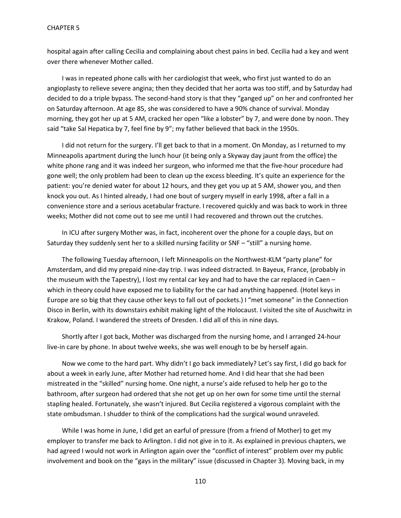hospital again after calling Cecilia and complaining about chest pains in bed. Cecilia had a key and went over there whenever Mother called.

I was in repeated phone calls with her cardiologist that week, who first just wanted to do an angioplasty to relieve severe angina; then they decided that her aorta was too stiff, and by Saturday had decided to do a triple bypass. The second-hand story is that they "ganged up" on her and confronted her on Saturday afternoon. At age 85, she was considered to have a 90% chance of survival. Monday morning, they got her up at 5 AM, cracked her open "like a lobster" by 7, and were done by noon. They said "take Sal Hepatica by 7, feel fine by 9"; my father believed that back in the 1950s.

I did not return for the surgery. I'll get back to that in a moment. On Monday, as I returned to my Minneapolis apartment during the lunch hour (it being only a Skyway day jaunt from the office) the white phone rang and it was indeed her surgeon, who informed me that the five-hour procedure had gone well; the only problem had been to clean up the excess bleeding. It's quite an experience for the patient: you're denied water for about 12 hours, and they get you up at 5 AM, shower you, and then knock you out. As I hinted already, I had one bout of surgery myself in early 1998, after a fall in a convenience store and a serious acetabular fracture. I recovered quickly and was back to work in three weeks; Mother did not come out to see me until I had recovered and thrown out the crutches.

In ICU after surgery Mother was, in fact, incoherent over the phone for a couple days, but on Saturday they suddenly sent her to a skilled nursing facility or SNF – "still" a nursing home.

The following Tuesday afternoon, I left Minneapolis on the Northwest-KLM "party plane" for Amsterdam, and did my prepaid nine-day trip. I was indeed distracted. In Bayeux, France, (probably in the museum with the Tapestry), I lost my rental car key and had to have the car replaced in Caen which in theory could have exposed me to liability for the car had anything happened. (Hotel keys in Europe are so big that they cause other keys to fall out of pockets.) I "met someone" in the Connection Disco in Berlin, with its downstairs exhibit making light of the Holocaust. I visited the site of Auschwitz in Krakow, Poland. I wandered the streets of Dresden. I did all of this in nine days.

Shortly after I got back, Mother was discharged from the nursing home, and I arranged 24-hour live-in care by phone. In about twelve weeks, she was well enough to be by herself again.

Now we come to the hard part. Why didn't I go back immediately? Let's say first, I did go back for about a week in early June, after Mother had returned home. And I did hear that she had been mistreated in the "skilled" nursing home. One night, a nurse's aide refused to help her go to the bathroom, after surgeon had ordered that she not get up on her own for some time until the sternal stapling healed. Fortunately, she wasn't injured. But Cecilia registered a vigorous complaint with the state ombudsman. I shudder to think of the complications had the surgical wound unraveled.

While I was home in June, I did get an earful of pressure (from a friend of Mother) to get my employer to transfer me back to Arlington. I did not give in to it. As explained in previous chapters, we had agreed I would not work in Arlington again over the "conflict of interest" problem over my public involvement and book on the "gays in the military" issue (discussed in Chapter 3). Moving back, in my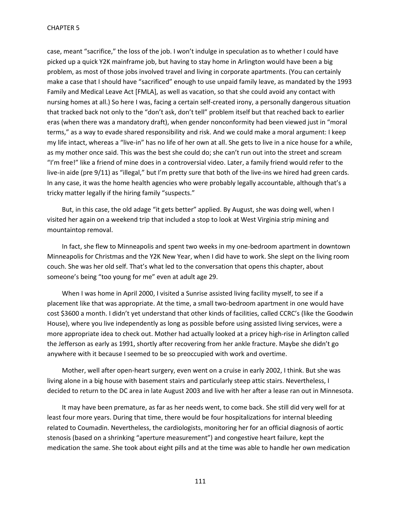case, meant "sacrifice," the loss of the job. I won't indulge in speculation as to whether I could have picked up a quick Y2K mainframe job, but having to stay home in Arlington would have been a big problem, as most of those jobs involved travel and living in corporate apartments. (You can certainly make a case that I should have "sacrificed" enough to use unpaid family leave, as mandated by the 1993 Family and Medical Leave Act [FMLA], as well as vacation, so that she could avoid any contact with nursing homes at all.) So here I was, facing a certain self-created irony, a personally dangerous situation that tracked back not only to the "don't ask, don't tell" problem itself but that reached back to earlier eras (when there was a mandatory draft), when gender nonconformity had been viewed just in "moral terms," as a way to evade shared responsibility and risk. And we could make a moral argument: I keep my life intact, whereas a "live-in" has no life of her own at all. She gets to live in a nice house for a while, as my mother once said. This was the best she could do; she can't run out into the street and scream "I'm free!" like a friend of mine does in a controversial video. Later, a family friend would refer to the live-in aide (pre 9/11) as "illegal," but I'm pretty sure that both of the live-ins we hired had green cards. In any case, it was the home health agencies who were probably legally accountable, although that's a tricky matter legally if the hiring family "suspects."

But, in this case, the old adage "it gets better" applied. By August, she was doing well, when I visited her again on a weekend trip that included a stop to look at West Virginia strip mining and mountaintop removal.

In fact, she flew to Minneapolis and spent two weeks in my one-bedroom apartment in downtown Minneapolis for Christmas and the Y2K New Year, when I did have to work. She slept on the living room couch. She was her old self. That's what led to the conversation that opens this chapter, about someone's being "too young for me" even at adult age 29.

When I was home in April 2000, I visited a Sunrise assisted living facility myself, to see if a placement like that was appropriate. At the time, a small two-bedroom apartment in one would have cost \$3600 a month. I didn't yet understand that other kinds of facilities, called CCRC's (like the Goodwin House), where you live independently as long as possible before using assisted living services, were a more appropriate idea to check out. Mother had actually looked at a pricey high-rise in Arlington called the Jefferson as early as 1991, shortly after recovering from her ankle fracture. Maybe she didn't go anywhere with it because I seemed to be so preoccupied with work and overtime.

Mother, well after open-heart surgery, even went on a cruise in early 2002, I think. But she was living alone in a big house with basement stairs and particularly steep attic stairs. Nevertheless, I decided to return to the DC area in late August 2003 and live with her after a lease ran out in Minnesota.

It may have been premature, as far as her needs went, to come back. She still did very well for at least four more years. During that time, there would be four hospitalizations for internal bleeding related to Coumadin. Nevertheless, the cardiologists, monitoring her for an official diagnosis of aortic stenosis (based on a shrinking "aperture measurement") and congestive heart failure, kept the medication the same. She took about eight pills and at the time was able to handle her own medication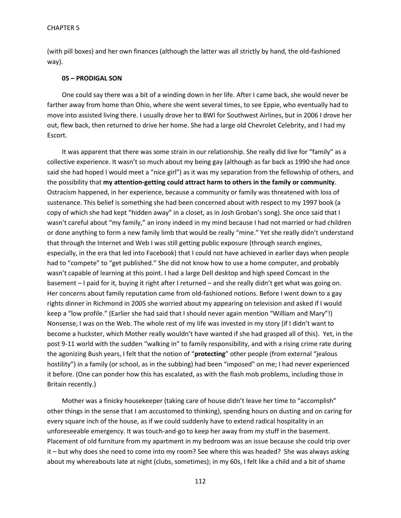(with pill boxes) and her own finances (although the latter was all strictly by hand, the old-fashioned way).

## **05 – PRODIGAL SON**

One could say there was a bit of a winding down in her life. After I came back, she would never be farther away from home than Ohio, where she went several times, to see Eppie, who eventually had to move into assisted living there. I usually drove her to BWI for Southwest Airlines, but in 2006 I drove her out, flew back, then returned to drive her home. She had a large old Chevrolet Celebrity, and I had my Escort.

It was apparent that there was some strain in our relationship. She really did live for "family" as a collective experience. It wasn't so much about my being gay (although as far back as 1990 she had once said she had hoped I would meet a "nice girl") as it was my separation from the fellowship of others, and the possibility that **my attention-getting could attract harm to others in the family or community**. Ostracism happened, in her experience, because a community or family was threatened with loss of sustenance. This belief is something she had been concerned about with respect to my 1997 book (a copy of which she had kept "hidden away" in a closet, as in Josh Groban's song). She once said that I wasn't careful about "my family," an irony indeed in my mind because I had not married or had children or done anything to form a new family limb that would be really "mine." Yet she really didn't understand that through the Internet and Web I was still getting public exposure (through search engines, especially, in the era that led into Facebook) that I could not have achieved in earlier days when people had to "compete" to "get published." She did not know how to use a home computer, and probably wasn't capable of learning at this point. I had a large Dell desktop and high speed Comcast in the basement – I paid for it, buying it right after I returned – and she really didn't get what was going on. Her concerns about family reputation came from old-fashioned notions. Before I went down to a gay rights dinner in Richmond in 2005 she worried about my appearing on television and asked if I would keep a "low profile." (Earlier she had said that I should never again mention "William and Mary"!) Nonsense, I was on the Web. The whole rest of my life was invested in my story (if I didn't want to become a huckster, which Mother really wouldn't have wanted if she had grasped all of this). Yet, in the post 9-11 world with the sudden "walking in" to family responsibility, and with a rising crime rate during the agonizing Bush years, I felt that the notion of "**protecting**" other people (from external "jealous hostility") in a family (or school, as in the subbing) had been "imposed" on me; I had never experienced it before. (One can ponder how this has escalated, as with the flash mob problems, including those in Britain recently.)

Mother was a finicky housekeeper (taking care of house didn't leave her time to "accomplish" other things in the sense that I am accustomed to thinking), spending hours on dusting and on caring for every square inch of the house, as if we could suddenly have to extend radical hospitality in an unforeseeable emergency. It was touch-and-go to keep her away from my stuff in the basement. Placement of old furniture from my apartment in my bedroom was an issue because she could trip over it – but why does she need to come into my room? See where this was headed? She was always asking about my whereabouts late at night (clubs, sometimes); in my 60s, I felt like a child and a bit of shame

112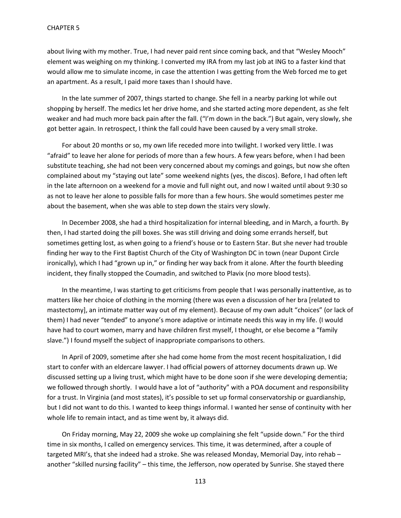about living with my mother. True, I had never paid rent since coming back, and that "Wesley Mooch" element was weighing on my thinking. I converted my IRA from my last job at ING to a faster kind that would allow me to simulate income, in case the attention I was getting from the Web forced me to get an apartment. As a result, I paid more taxes than I should have.

In the late summer of 2007, things started to change. She fell in a nearby parking lot while out shopping by herself. The medics let her drive home, and she started acting more dependent, as she felt weaker and had much more back pain after the fall. ("I'm down in the back.") But again, very slowly, she got better again. In retrospect, I think the fall could have been caused by a very small stroke.

For about 20 months or so, my own life receded more into twilight. I worked very little. I was "afraid" to leave her alone for periods of more than a few hours. A few years before, when I had been substitute teaching, she had not been very concerned about my comings and goings, but now she often complained about my "staying out late" some weekend nights (yes, the discos). Before, I had often left in the late afternoon on a weekend for a movie and full night out, and now I waited until about 9:30 so as not to leave her alone to possible falls for more than a few hours. She would sometimes pester me about the basement, when she was able to step down the stairs very slowly.

In December 2008, she had a third hospitalization for internal bleeding, and in March, a fourth. By then, I had started doing the pill boxes. She was still driving and doing some errands herself, but sometimes getting lost, as when going to a friend's house or to Eastern Star. But she never had trouble finding her way to the First Baptist Church of the City of Washington DC in town (near Dupont Circle ironically), which I had "grown up in," or finding her way back from it alone. After the fourth bleeding incident, they finally stopped the Coumadin, and switched to Plavix (no more blood tests).

In the meantime, I was starting to get criticisms from people that I was personally inattentive, as to matters like her choice of clothing in the morning (there was even a discussion of her bra [related to mastectomy], an intimate matter way out of my element). Because of my own adult "choices" (or lack of them) I had never "tended" to anyone's more adaptive or intimate needs this way in my life. (I would have had to court women, marry and have children first myself, I thought, or else become a "family slave.") I found myself the subject of inappropriate comparisons to others.

In April of 2009, sometime after she had come home from the most recent hospitalization, I did start to confer with an eldercare lawyer. I had official powers of attorney documents drawn up. We discussed setting up a living trust, which might have to be done soon if she were developing dementia; we followed through shortly. I would have a lot of "authority" with a POA document and responsibility for a trust. In Virginia (and most states), it's possible to set up formal conservatorship or guardianship, but I did not want to do this. I wanted to keep things informal. I wanted her sense of continuity with her whole life to remain intact, and as time went by, it always did.

On Friday morning, May 22, 2009 she woke up complaining she felt "upside down." For the third time in six months, I called on emergency services. This time, it was determined, after a couple of targeted MRI's, that she indeed had a stroke. She was released Monday, Memorial Day, into rehab – another "skilled nursing facility" – this time, the Jefferson, now operated by Sunrise. She stayed there

113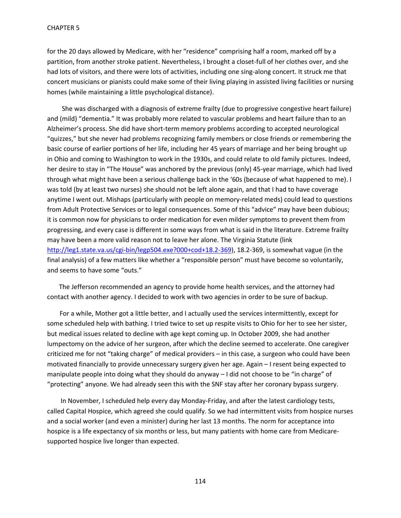for the 20 days allowed by Medicare, with her "residence" comprising half a room, marked off by a partition, from another stroke patient. Nevertheless, I brought a closet-full of her clothes over, and she had lots of visitors, and there were lots of activities, including one sing-along concert. It struck me that concert musicians or pianists could make some of their living playing in assisted living facilities or nursing homes (while maintaining a little psychological distance).

She was discharged with a diagnosis of extreme frailty (due to progressive congestive heart failure) and (mild) "dementia." It was probably more related to vascular problems and heart failure than to an Alzheimer's process. She did have short-term memory problems according to accepted neurological "quizzes," but she never had problems recognizing family members or close friends or remembering the basic course of earlier portions of her life, including her 45 years of marriage and her being brought up in Ohio and coming to Washington to work in the 1930s, and could relate to old family pictures. Indeed, her desire to stay in "The House" was anchored by the previous (only) 45-year marriage, which had lived through what might have been a serious challenge back in the '60s (because of what happened to me). I was told (by at least two nurses) she should not be left alone again, and that I had to have coverage anytime I went out. Mishaps (particularly with people on memory-related meds) could lead to questions from Adult Protective Services or to legal consequences. Some of this "advice" may have been dubious; it is common now for physicians to order medication for even milder symptoms to prevent them from progressing, and every case is different in some ways from what is said in the literature. Extreme frailty may have been a more valid reason not to leave her alone. The Virginia Statute (link [http://leg1.state.va.us/cgi-bin/legp504.exe?000+cod+18.2-369\)](http://leg1.state.va.us/cgi-bin/legp504.exe?000+cod+18.2-369), 18.2-369, is somewhat vague (in the final analysis) of a few matters like whether a "responsible person" must have become so voluntarily, and seems to have some "outs."

The Jefferson recommended an agency to provide home health services, and the attorney had contact with another agency. I decided to work with two agencies in order to be sure of backup.

 For a while, Mother got a little better, and I actually used the services intermittently, except for some scheduled help with bathing. I tried twice to set up respite visits to Ohio for her to see her sister, but medical issues related to decline with age kept coming up. In October 2009, she had another lumpectomy on the advice of her surgeon, after which the decline seemed to accelerate. One caregiver criticized me for not "taking charge" of medical providers – in this case, a surgeon who could have been motivated financially to provide unnecessary surgery given her age. Again – I resent being expected to manipulate people into doing what they should do anyway – I did not choose to be "in charge" of "protecting" anyone. We had already seen this with the SNF stay after her coronary bypass surgery.

In November, I scheduled help every day Monday-Friday, and after the latest cardiology tests, called Capital Hospice, which agreed she could qualify. So we had intermittent visits from hospice nurses and a social worker (and even a minister) during her last 13 months. The norm for acceptance into hospice is a life expectancy of six months or less, but many patients with home care from Medicaresupported hospice live longer than expected.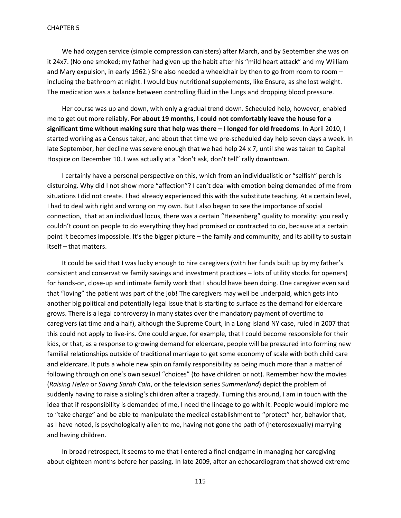We had oxygen service (simple compression canisters) after March, and by September she was on it 24x7. (No one smoked; my father had given up the habit after his "mild heart attack" and my William and Mary expulsion, in early 1962.) She also needed a wheelchair by then to go from room to room – including the bathroom at night. I would buy nutritional supplements, like Ensure, as she lost weight. The medication was a balance between controlling fluid in the lungs and dropping blood pressure.

Her course was up and down, with only a gradual trend down. Scheduled help, however, enabled me to get out more reliably. **For about 19 months, I could not comfortably leave the house for a significant time without making sure that help was there – I longed for old freedoms**. In April 2010, I started working as a Census taker, and about that time we pre-scheduled day help seven days a week. In late September, her decline was severe enough that we had help 24 x 7, until she was taken to Capital Hospice on December 10. I was actually at a "don't ask, don't tell" rally downtown.

I certainly have a personal perspective on this, which from an individualistic or "selfish" perch is disturbing. Why did I not show more "affection"? I can't deal with emotion being demanded of me from situations I did not create. I had already experienced this with the substitute teaching. At a certain level, I had to deal with right and wrong on my own. But I also began to see the importance of social connection, that at an individual locus, there was a certain "Heisenberg" quality to morality: you really couldn't count on people to do everything they had promised or contracted to do, because at a certain point it becomes impossible. It's the bigger picture – the family and community, and its ability to sustain itself – that matters.

It could be said that I was lucky enough to hire caregivers (with her funds built up by my father's consistent and conservative family savings and investment practices – lots of utility stocks for openers) for hands-on, close-up and intimate family work that I should have been doing. One caregiver even said that "loving" the patient was part of the job! The caregivers may well be underpaid, which gets into another big political and potentially legal issue that is starting to surface as the demand for eldercare grows. There is a legal controversy in many states over the mandatory payment of overtime to caregivers (at time and a half), although the Supreme Court, in a Long Island NY case, ruled in 2007 that this could not apply to live-ins. One could argue, for example, that I could become responsible for their kids, or that, as a response to growing demand for eldercare, people will be pressured into forming new familial relationships outside of traditional marriage to get some economy of scale with both child care and eldercare. It puts a whole new spin on family responsibility as being much more than a matter of following through on one's own sexual "choices" (to have children or not). Remember how the movies (*Raising Helen* or *Saving Sarah Cain*, or the television series *Summerland*) depict the problem of suddenly having to raise a sibling's children after a tragedy. Turning this around, I am in touch with the idea that if responsibility is demanded of me, I need the lineage to go with it. People would implore me to "take charge" and be able to manipulate the medical establishment to "protect" her, behavior that, as I have noted, is psychologically alien to me, having not gone the path of (heterosexually) marrying and having children.

In broad retrospect, it seems to me that I entered a final endgame in managing her caregiving about eighteen months before her passing. In late 2009, after an echocardiogram that showed extreme

115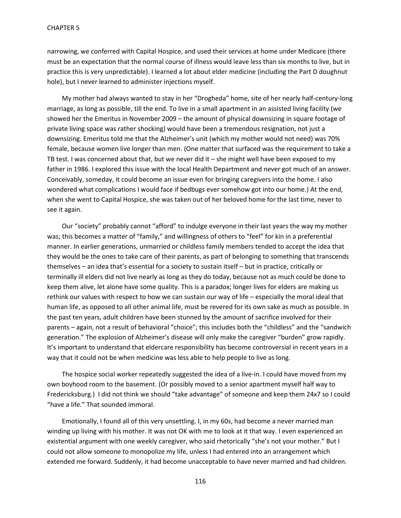narrowing, we conferred with Capital Hospice, and used their services at home under Medicare (there must be an expectation that the normal course of illness would leave less than six months to live, but in practice this is very unpredictable). I learned a lot about elder medicine (including the Part D doughnut hole), but I never learned to administer injections myself.

My mother had always wanted to stay in her "Drogheda" home, site of her nearly half-century-long marriage, as long as possible, till the end. To live in a small apartment in an assisted living facility (we showed her the Emeritus in November 2009 – the amount of physical downsizing in square footage of private living space was rather shocking) would have been a tremendous resignation, not just a downsizing. Emeritus told me that the Alzheimer's unit (which my mother would not need) was 70% female, because women live longer than men. (One matter that surfaced was the requirement to take a TB test. I was concerned about that, but we never did it  $-$  she might well have been exposed to my father in 1986. I explored this issue with the local Health Department and never got much of an answer. Conceivably, someday, it could become an issue even for bringing caregivers into the home. I also wondered what complications I would face if bedbugs ever somehow got into our home.) At the end, when she went to Capital Hospice, she was taken out of her beloved home for the last time, never to see it again.

Our "society" probably cannot "afford" to indulge everyone in their last years the way my mother was; this becomes a matter of "family," and willingness of others to "feel" for kin in a preferential manner. In earlier generations, unmarried or childless family members tended to accept the idea that they would be the ones to take care of their parents, as part of belonging to something that transcends themselves – an idea that's essential for a society to sustain itself – but in practice, critically or terminally ill elders did not live nearly as long as they do today, because not as much could be done to keep them alive, let alone have some quality. This is a paradox; longer lives for elders are making us rethink our values with respect to how we can sustain our way of life – especially the moral ideal that human life, as opposed to all other animal life, must be revered for its own sake as much as possible. In the past ten years, adult children have been stunned by the amount of sacrifice involved for their parents – again, not a result of behavioral "choice"; this includes both the "childless" and the "sandwich generation." The explosion of Alzheimer's disease will only make the caregiver "burden" grow rapidly. It's important to understand that eldercare responsibility has become controversial in recent years in a way that it could not be when medicine was less able to help people to live as long.

The hospice social worker repeatedly suggested the idea of a live-in. I could have moved from my own boyhood room to the basement. (Or possibly moved to a senior apartment myself half way to Fredericksburg.) I did not think we should "take advantage" of someone and keep them 24x7 so I could "have a life." That sounded immoral.

Emotionally, I found all of this very unsettling. I, in my 60s, had become a never married man winding up living with his mother. It was not OK with me to look at it that way. I even experienced an existential argument with one weekly caregiver, who said rhetorically "she's not your mother." But I could not allow someone to monopolize my life, unless I had entered into an arrangement which extended me forward. Suddenly, it had become unacceptable to have never married and had children.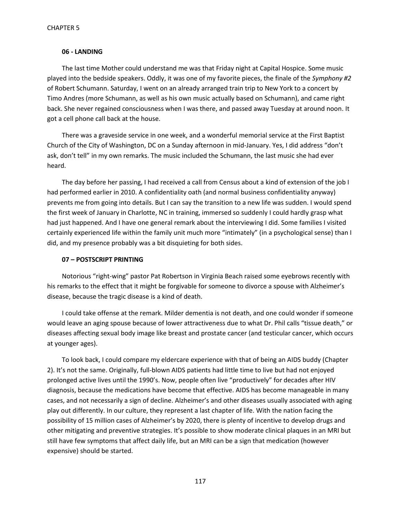#### **06 - LANDING**

The last time Mother could understand me was that Friday night at Capital Hospice. Some music played into the bedside speakers. Oddly, it was one of my favorite pieces, the finale of the *Symphony #2* of Robert Schumann. Saturday, I went on an already arranged train trip to New York to a concert by Timo Andres (more Schumann, as well as his own music actually based on Schumann), and came right back. She never regained consciousness when I was there, and passed away Tuesday at around noon. It got a cell phone call back at the house.

There was a graveside service in one week, and a wonderful memorial service at the First Baptist Church of the City of Washington, DC on a Sunday afternoon in mid-January. Yes, I did address "don't ask, don't tell" in my own remarks. The music included the Schumann, the last music she had ever heard.

The day before her passing, I had received a call from Census about a kind of extension of the job I had performed earlier in 2010. A confidentiality oath (and normal business confidentiality anyway) prevents me from going into details. But I can say the transition to a new life was sudden. I would spend the first week of January in Charlotte, NC in training, immersed so suddenly I could hardly grasp what had just happened. And I have one general remark about the interviewing I did. Some families I visited certainly experienced life within the family unit much more "intimately" (in a psychological sense) than I did, and my presence probably was a bit disquieting for both sides.

## **07 – POSTSCRIPT PRINTING**

Notorious "right-wing" pastor Pat Robertson in Virginia Beach raised some eyebrows recently with his remarks to the effect that it might be forgivable for someone to divorce a spouse with Alzheimer's disease, because the tragic disease is a kind of death.

I could take offense at the remark. Milder dementia is not death, and one could wonder if someone would leave an aging spouse because of lower attractiveness due to what Dr. Phil calls "tissue death," or diseases affecting sexual body image like breast and prostate cancer (and testicular cancer, which occurs at younger ages).

To look back, I could compare my eldercare experience with that of being an AIDS buddy (Chapter 2). It's not the same. Originally, full-blown AIDS patients had little time to live but had not enjoyed prolonged active lives until the 1990's. Now, people often live "productively" for decades after HIV diagnosis, because the medications have become that effective. AIDS has become manageable in many cases, and not necessarily a sign of decline. Alzheimer's and other diseases usually associated with aging play out differently. In our culture, they represent a last chapter of life. With the nation facing the possibility of 15 million cases of Alzheimer's by 2020, there is plenty of incentive to develop drugs and other mitigating and preventive strategies. It's possible to show moderate clinical plaques in an MRI but still have few symptoms that affect daily life, but an MRI can be a sign that medication (however expensive) should be started.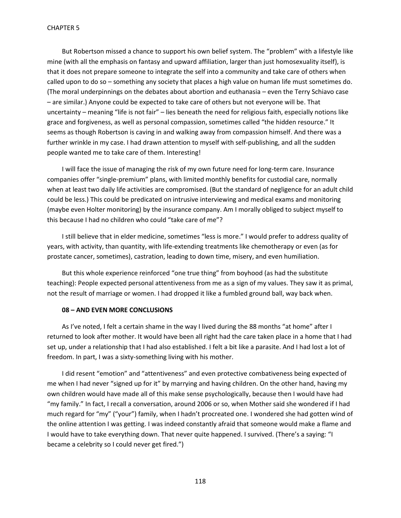But Robertson missed a chance to support his own belief system. The "problem" with a lifestyle like mine (with all the emphasis on fantasy and upward affiliation, larger than just homosexuality itself), is that it does not prepare someone to integrate the self into a community and take care of others when called upon to do so – something any society that places a high value on human life must sometimes do. (The moral underpinnings on the debates about abortion and euthanasia – even the Terry Schiavo case – are similar.) Anyone could be expected to take care of others but not everyone will be. That uncertainty – meaning "life is not fair" – lies beneath the need for religious faith, especially notions like grace and forgiveness, as well as personal compassion, sometimes called "the hidden resource." It seems as though Robertson is caving in and walking away from compassion himself. And there was a further wrinkle in my case. I had drawn attention to myself with self-publishing, and all the sudden people wanted me to take care of them. Interesting!

I will face the issue of managing the risk of my own future need for long-term care. Insurance companies offer "single-premium" plans, with limited monthly benefits for custodial care, normally when at least two daily life activities are compromised. (But the standard of negligence for an adult child could be less.) This could be predicated on intrusive interviewing and medical exams and monitoring (maybe even Holter monitoring) by the insurance company. Am I morally obliged to subject myself to this because I had no children who could "take care of me"?

I still believe that in elder medicine, sometimes "less is more." I would prefer to address quality of years, with activity, than quantity, with life-extending treatments like chemotherapy or even (as for prostate cancer, sometimes), castration, leading to down time, misery, and even humiliation.

But this whole experience reinforced "one true thing" from boyhood (as had the substitute teaching): People expected personal attentiveness from me as a sign of my values. They saw it as primal, not the result of marriage or women. I had dropped it like a fumbled ground ball, way back when.

#### **08 – AND EVEN MORE CONCLUSIONS**

As I've noted, I felt a certain shame in the way I lived during the 88 months "at home" after I returned to look after mother. It would have been all right had the care taken place in a home that I had set up, under a relationship that I had also established. I felt a bit like a parasite. And I had lost a lot of freedom. In part, I was a sixty-something living with his mother.

I did resent "emotion" and "attentiveness" and even protective combativeness being expected of me when I had never "signed up for it" by marrying and having children. On the other hand, having my own children would have made all of this make sense psychologically, because then I would have had "my family." In fact, I recall a conversation, around 2006 or so, when Mother said she wondered if I had much regard for "my" ("your") family, when I hadn't procreated one. I wondered she had gotten wind of the online attention I was getting. I was indeed constantly afraid that someone would make a flame and I would have to take everything down. That never quite happened. I survived. (There's a saying: "I became a celebrity so I could never get fired.")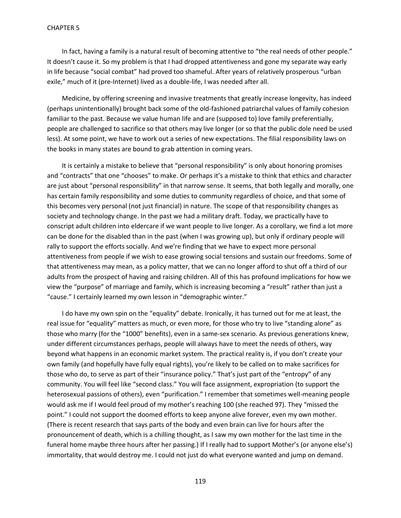In fact, having a family is a natural result of becoming attentive to "the real needs of other people." It doesn't cause it. So my problem is that I had dropped attentiveness and gone my separate way early in life because "social combat" had proved too shameful. After years of relatively prosperous "urban exile," much of it (pre-Internet) lived as a double-life, I was needed after all.

Medicine, by offering screening and invasive treatments that greatly increase longevity, has indeed (perhaps unintentionally) brought back some of the old-fashioned patriarchal values of family cohesion familiar to the past. Because we value human life and are (supposed to) love family preferentially, people are challenged to sacrifice so that others may live longer (or so that the public dole need be used less). At some point, we have to work out a series of new expectations. The filial responsibility laws on the books in many states are bound to grab attention in coming years.

It is certainly a mistake to believe that "personal responsibility" is only about honoring promises and "contracts" that one "chooses" to make. Or perhaps it's a mistake to think that ethics and character are just about "personal responsibility" in that narrow sense. It seems, that both legally and morally, one has certain family responsibility and some duties to community regardless of choice, and that some of this becomes very personal (not just financial) in nature. The scope of that responsibility changes as society and technology change. In the past we had a military draft. Today, we practically have to conscript adult children into eldercare if we want people to live longer. As a corollary, we find a lot more can be done for the disabled than in the past (when I was growing up), but only if ordinary people will rally to support the efforts socially. And we're finding that we have to expect more personal attentiveness from people if we wish to ease growing social tensions and sustain our freedoms. Some of that attentiveness may mean, as a policy matter, that we can no longer afford to shut off a third of our adults from the prospect of having and raising children. All of this has profound implications for how we view the "purpose" of marriage and family, which is increasing becoming a "result" rather than just a "cause." I certainly learned my own lesson in "demographic winter."

I do have my own spin on the "equality" debate. Ironically, it has turned out for me at least, the real issue for "equality" matters as much, or even more, for those who try to live "standing alone" as those who marry (for the "1000" benefits), even in a same-sex scenario. As previous generations knew, under different circumstances perhaps, people will always have to meet the needs of others, way beyond what happens in an economic market system. The practical reality is, if you don't create your own family (and hopefully have fully equal rights), you're likely to be called on to make sacrifices for those who do, to serve as part of their "insurance policy." That's just part of the "entropy" of any community. You will feel like "second class." You will face assignment, expropriation (to support the heterosexual passions of others), even "purification." I remember that sometimes well-meaning people would ask me if I would feel proud of my mother's reaching 100 (she reached 97). They "missed the point." I could not support the doomed efforts to keep anyone alive forever, even my own mother. (There is recent research that says parts of the body and even brain can live for hours after the pronouncement of death, which is a chilling thought, as I saw my own mother for the last time in the funeral home maybe three hours after her passing.) If I really had to support Mother's (or anyone else's) immortality, that would destroy me. I could not just do what everyone wanted and jump on demand.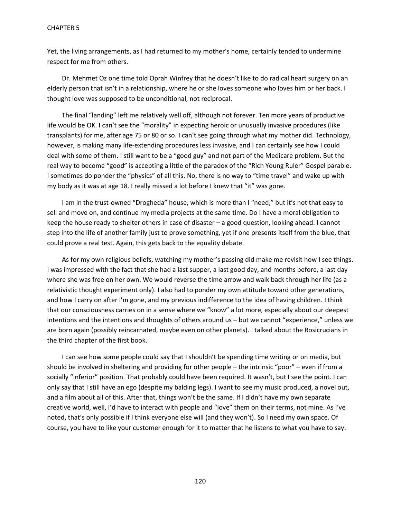Yet, the living arrangements, as I had returned to my mother's home, certainly tended to undermine respect for me from others.

Dr. Mehmet Oz one time told Oprah Winfrey that he doesn't like to do radical heart surgery on an elderly person that isn't in a relationship, where he or she loves someone who loves him or her back. I thought love was supposed to be unconditional, not reciprocal.

The final "landing" left me relatively well off, although not forever. Ten more years of productive life would be OK. I can't see the "morality" in expecting heroic or unusually invasive procedures (like transplants) for me, after age 75 or 80 or so. I can't see going through what my mother did. Technology, however, is making many life-extending procedures less invasive, and I can certainly see how I could deal with some of them. I still want to be a "good guy" and not part of the Medicare problem. But the real way to become "good" is accepting a little of the paradox of the "Rich Young Ruler" Gospel parable. I sometimes do ponder the "physics" of all this. No, there is no way to "time travel" and wake up with my body as it was at age 18. I really missed a lot before I knew that "it" was gone.

I am in the trust-owned "Drogheda" house, which is more than I "need," but it's not that easy to sell and move on, and continue my media projects at the same time. Do I have a moral obligation to keep the house ready to shelter others in case of disaster – a good question, looking ahead. I cannot step into the life of another family just to prove something, yet if one presents itself from the blue, that could prove a real test. Again, this gets back to the equality debate.

As for my own religious beliefs, watching my mother's passing did make me revisit how I see things. I was impressed with the fact that she had a last supper, a last good day, and months before, a last day where she was free on her own. We would reverse the time arrow and walk back through her life (as a relativistic thought experiment only). I also had to ponder my own attitude toward other generations, and how I carry on after I'm gone, and my previous indifference to the idea of having children. I think that our consciousness carries on in a sense where we "know" a lot more, especially about our deepest intentions and the intentions and thoughts of others around us – but we cannot "experience," unless we are born again (possibly reincarnated, maybe even on other planets). I talked about the Rosicrucians in the third chapter of the first book.

I can see how some people could say that I shouldn't be spending time writing or on media, but should be involved in sheltering and providing for other people – the intrinsic "poor" – even if from a socially "inferior" position. That probably could have been required. It wasn't, but I see the point. I can only say that I still have an ego (despite my balding legs). I want to see my music produced, a novel out, and a film about all of this. After that, things won't be the same. If I didn't have my own separate creative world, well, I'd have to interact with people and "love" them on their terms, not mine. As I've noted, that's only possible if I think everyone else will (and they won't). So I need my own space. Of course, you have to like your customer enough for it to matter that he listens to what you have to say.